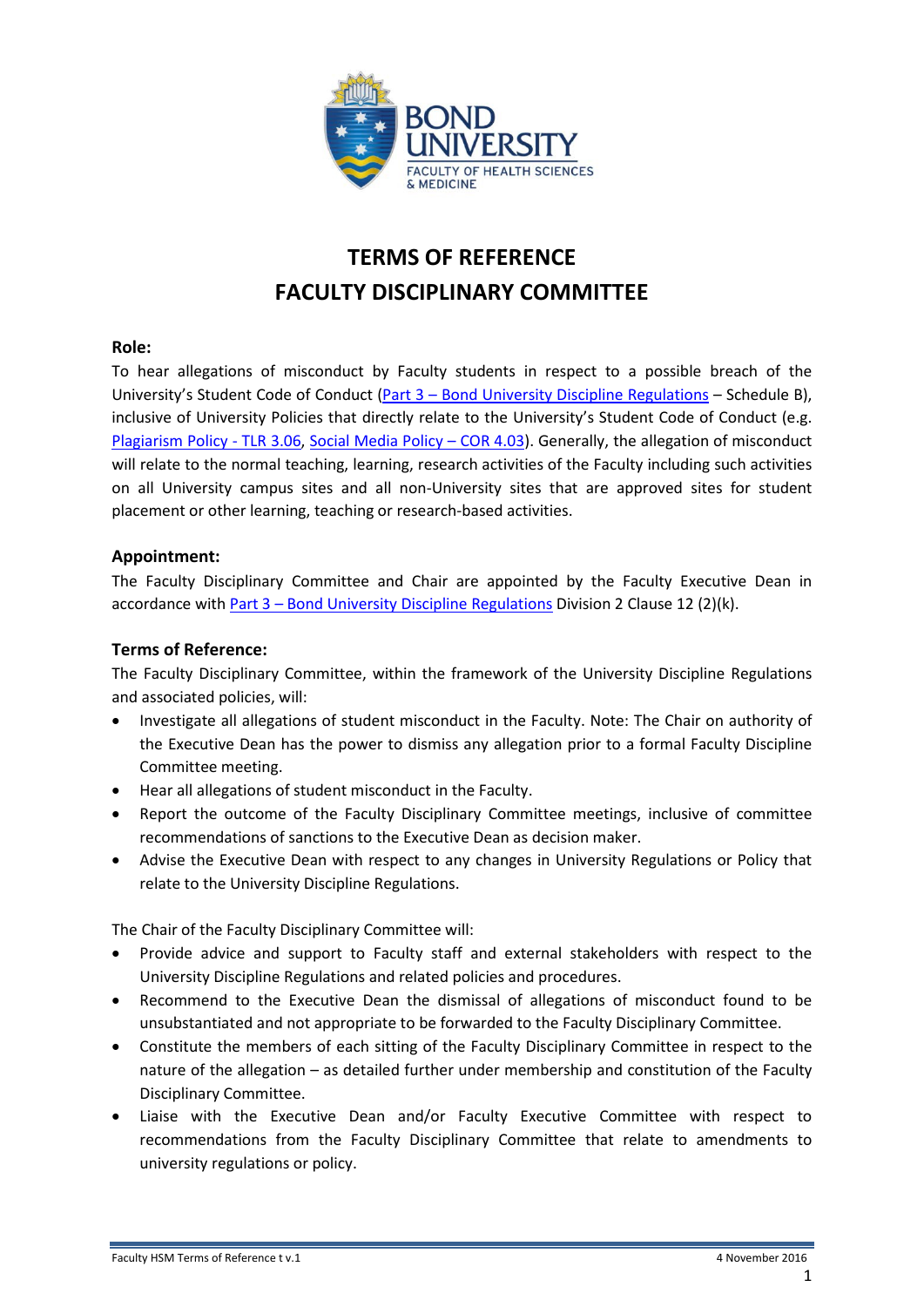

# **TERMS OF REFERENCE FACULTY DISCIPLINARY COMMITTEE**

#### **Role:**

To hear allegations of misconduct by Faculty students in respect to a possible breach of the University's Student Code of Conduct (Part 3 – [Bond University Discipline Regulations](https://bond.edu.au/files/676/Part3DiscipRegs.pdf) – Schedule B), inclusive of University Policies that directly relate to the University's Student Code of Conduct (e.g. [Plagiarism Policy -](https://bond.edu.au/files/949/TLR306.pdf) TLR 3.06, [Social Media Policy –](https://bond.edu.au/files/927/COR403.pdf) COR 4.03). Generally, the allegation of misconduct will relate to the normal teaching, learning, research activities of the Faculty including such activities on all University campus sites and all non-University sites that are approved sites for student placement or other learning, teaching or research-based activities.

### **Appointment:**

The Faculty Disciplinary Committee and Chair are appointed by the Faculty Executive Dean in accordance with Part 3 – [Bond University Discipline Regulations](https://bond.edu.au/files/676/Part3DiscipRegs.pdf) Division 2 Clause 12 (2)(k).

## **Terms of Reference:**

The Faculty Disciplinary Committee, within the framework of the University Discipline Regulations and associated policies, will:

- Investigate all allegations of student misconduct in the Faculty. Note: The Chair on authority of the Executive Dean has the power to dismiss any allegation prior to a formal Faculty Discipline Committee meeting.
- Hear all allegations of student misconduct in the Faculty.
- Report the outcome of the Faculty Disciplinary Committee meetings, inclusive of committee recommendations of sanctions to the Executive Dean as decision maker.
- Advise the Executive Dean with respect to any changes in University Regulations or Policy that relate to the University Discipline Regulations.

The Chair of the Faculty Disciplinary Committee will:

- Provide advice and support to Faculty staff and external stakeholders with respect to the University Discipline Regulations and related policies and procedures.
- Recommend to the Executive Dean the dismissal of allegations of misconduct found to be unsubstantiated and not appropriate to be forwarded to the Faculty Disciplinary Committee.
- Constitute the members of each sitting of the Faculty Disciplinary Committee in respect to the nature of the allegation – as detailed further under membership and constitution of the Faculty Disciplinary Committee.
- Liaise with the Executive Dean and/or Faculty Executive Committee with respect to recommendations from the Faculty Disciplinary Committee that relate to amendments to university regulations or policy.